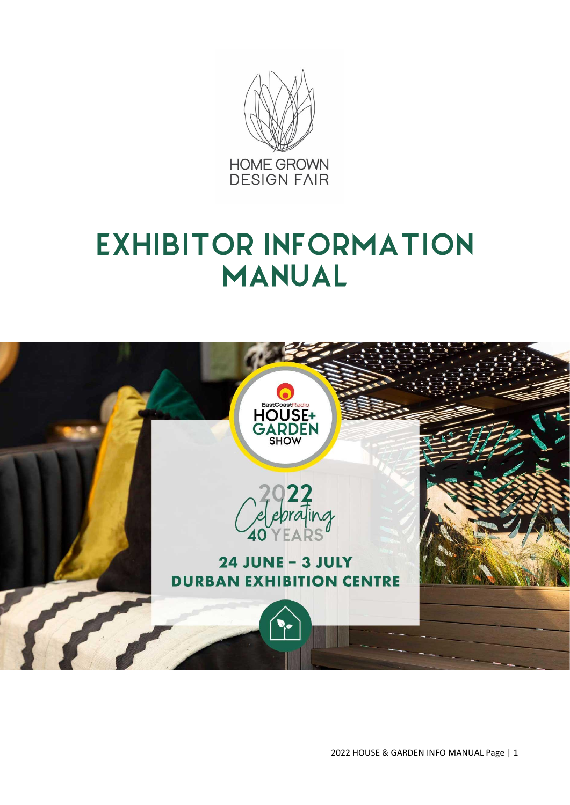

# **EXHIBITOR INFORMATION MANUAL**

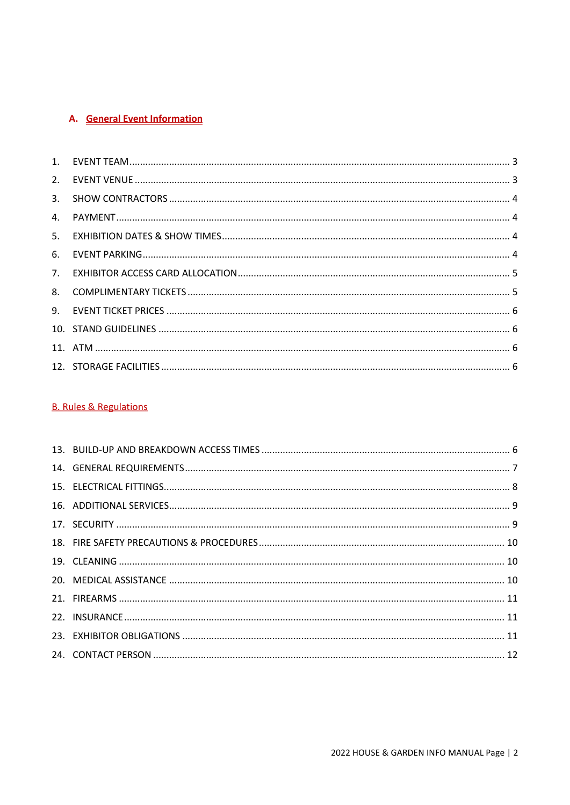# A. General Event Information

# **B. Rules & Regulations**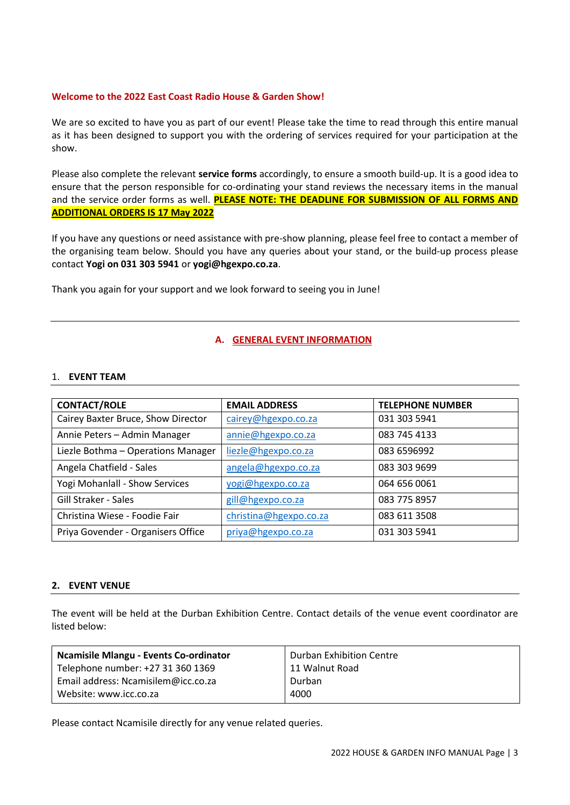# **Welcome to the 2022 East Coast Radio House & Garden Show!**

We are so excited to have you as part of our event! Please take the time to read through this entire manual as it has been designed to support you with the ordering of services required for your participation at the show.

Please also complete the relevant **service forms** accordingly, to ensure a smooth build-up. It is a good idea to ensure that the person responsible for co-ordinating your stand reviews the necessary items in the manual and the service order forms as well. **PLEASE NOTE: THE DEADLINE FOR SUBMISSION OF ALL FORMS AND ADDITIONAL ORDERS IS 17 May 2022**

If you have any questions or need assistance with pre-show planning, please feel free to contact a member of the organising team below. Should you have any queries about your stand, or the build-up process please contact **Yogi on 031 303 5941** or **yogi@hgexpo.co.za**.

Thank you again for your support and we look forward to seeing you in June!

# **A. GENERAL EVENT INFORMATION**

# <span id="page-2-0"></span>1. **EVENT TEAM**

| <b>CONTACT/ROLE</b>                | <b>EMAIL ADDRESS</b>   | <b>TELEPHONE NUMBER</b> |
|------------------------------------|------------------------|-------------------------|
| Cairey Baxter Bruce, Show Director | cairey@hgexpo.co.za    | 031 303 5941            |
| Annie Peters - Admin Manager       | annie@hgexpo.co.za     | 083 745 4133            |
| Liezle Bothma - Operations Manager | liezle@hgexpo.co.za    | 083 6596992             |
| Angela Chatfield - Sales           | angela@hgexpo.co.za    | 083 303 9699            |
| Yogi Mohanlall - Show Services     | yogi@hgexpo.co.za      | 064 656 0061            |
| <b>Gill Straker - Sales</b>        | gill@hgexpo.co.za      | 083 775 8957            |
| Christina Wiese - Foodie Fair      | christina@hgexpo.co.za | 083 611 3508            |
| Priya Govender - Organisers Office | priya@hgexpo.co.za     | 031 303 5941            |

# <span id="page-2-1"></span>**2. EVENT VENUE**

The event will be held at the Durban Exhibition Centre. Contact details of the venue event coordinator are listed below:

| <b>Ncamisile Mlangu - Events Co-ordinator</b> | Durban Exhibition Centre |
|-----------------------------------------------|--------------------------|
| Telephone number: +27 31 360 1369             | 11 Walnut Road           |
| Email address: Ncamisilem@icc.co.za           | Durban                   |
| Website: www.icc.co.za                        | 4000                     |

Please contact Ncamisile directly for any venue related queries.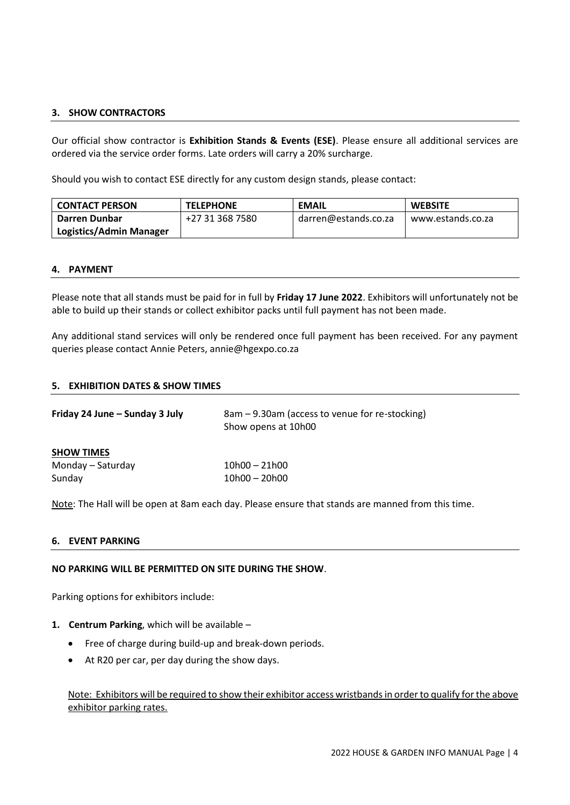# <span id="page-3-0"></span>**3. SHOW CONTRACTORS**

Our official show contractor is **Exhibition Stands & Events (ESE)**. Please ensure all additional services are ordered via the service order forms. Late orders will carry a 20% surcharge.

Should you wish to contact ESE directly for any custom design stands, please contact:

| <b>CONTACT PERSON</b>          | <b>TELEPHONE</b> | <b>EMAIL</b>         | <b>WEBSITE</b>    |  |
|--------------------------------|------------------|----------------------|-------------------|--|
| Darren Dunbar                  | +27 31 368 7580  | darren@estands.co.za | www.estands.co.za |  |
| <b>Logistics/Admin Manager</b> |                  |                      |                   |  |

#### <span id="page-3-1"></span>**4. PAYMENT**

Please note that all stands must be paid for in full by **Friday 17 June 2022**. Exhibitors will unfortunately not be able to build up their stands or collect exhibitor packs until full payment has not been made.

Any additional stand services will only be rendered once full payment has been received. For any payment queries please contact Annie Peters, annie@hgexpo.co.za

# <span id="page-3-2"></span>**5. EXHIBITION DATES & SHOW TIMES**

| Friday 24 June – Sunday 3 July | 8am – 9.30am (access to venue for re-stocking)<br>Show opens at 10h00 |
|--------------------------------|-----------------------------------------------------------------------|
| <b>SHOW TIMES</b>              |                                                                       |
| Monday – Saturday              | $10h00 - 21h00$                                                       |
| Sunday                         | $10h00 - 20h00$                                                       |

Note: The Hall will be open at 8am each day. Please ensure that stands are manned from this time.

## <span id="page-3-3"></span>**6. EVENT PARKING**

# **NO PARKING WILL BE PERMITTED ON SITE DURING THE SHOW**.

Parking options for exhibitors include:

# **1. Centrum Parking**, which will be available –

- Free of charge during build-up and break-down periods.
- At R20 per car, per day during the show days.

Note: Exhibitors will be required to show their exhibitor access wristbands in order to qualify for the above exhibitor parking rates.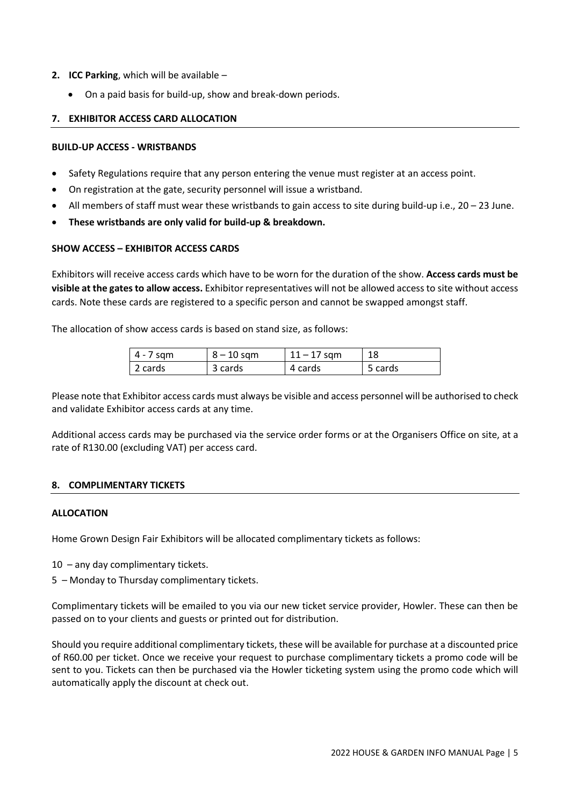- **2. ICC Parking**, which will be available
	- On a paid basis for build-up, show and break-down periods.

# <span id="page-4-0"></span>**7. EXHIBITOR ACCESS CARD ALLOCATION**

# **BUILD-UP ACCESS - WRISTBANDS**

- Safety Regulations require that any person entering the venue must register at an access point.
- On registration at the gate, security personnel will issue a wristband.
- All members of staff must wear these wristbands to gain access to site during build-up i.e., 20 23 June.
- **These wristbands are only valid for build-up & breakdown.**

# **SHOW ACCESS – EXHIBITOR ACCESS CARDS**

Exhibitors will receive access cards which have to be worn for the duration of the show. **Access cards must be visible at the gates to allow access.** Exhibitor representatives will not be allowed access to site without access cards. Note these cards are registered to a specific person and cannot be swapped amongst staff.

The allocation of show access cards is based on stand size, as follows:

| $ 4 - 7$ sqm | $8 - 10$ sqm | $11 - 17$ sqm | 18      |
|--------------|--------------|---------------|---------|
| 2 cards      | 3 cards      | 4 cards       | 5 cards |

Please note that Exhibitor access cards must always be visible and access personnel will be authorised to check and validate Exhibitor access cards at any time.

Additional access cards may be purchased via the service order forms or at the Organisers Office on site, at a rate of R130.00 (excluding VAT) per access card.

# <span id="page-4-1"></span>**8. COMPLIMENTARY TICKETS**

# **ALLOCATION**

Home Grown Design Fair Exhibitors will be allocated complimentary tickets as follows:

- 10 any day complimentary tickets.
- 5 Monday to Thursday complimentary tickets.

Complimentary tickets will be emailed to you via our new ticket service provider, Howler. These can then be passed on to your clients and guests or printed out for distribution.

Should you require additional complimentary tickets, these will be available for purchase at a discounted price of R60.00 per ticket. Once we receive your request to purchase complimentary tickets a promo code will be sent to you. Tickets can then be purchased via the Howler ticketing system using the promo code which will automatically apply the discount at check out.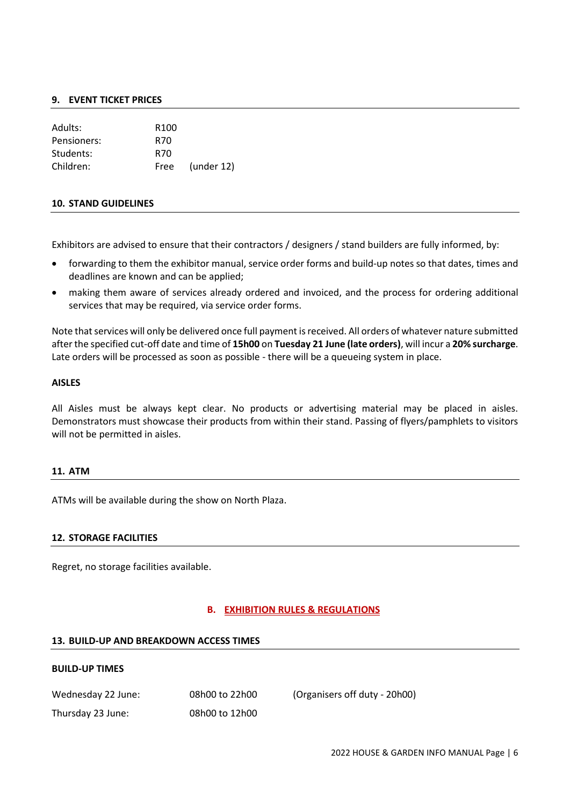### <span id="page-5-0"></span>**9. EVENT TICKET PRICES**

| Adults:     | R <sub>100</sub> |            |
|-------------|------------------|------------|
| Pensioners: | R70              |            |
| Students:   | R70              |            |
| Children:   | Free             | (under 12) |

#### <span id="page-5-1"></span>**10. STAND GUIDELINES**

Exhibitors are advised to ensure that their contractors / designers / stand builders are fully informed, by:

- forwarding to them the exhibitor manual, service order forms and build-up notes so that dates, times and deadlines are known and can be applied;
- making them aware of services already ordered and invoiced, and the process for ordering additional services that may be required, via service order forms.

Note that services will only be delivered once full payment is received. All orders of whatever nature submitted after the specified cut-off date and time of **15h00** on **Tuesday 21 June (late orders)**, will incur a **20% surcharge**. Late orders will be processed as soon as possible - there will be a queueing system in place.

#### **AISLES**

All Aisles must be always kept clear. No products or advertising material may be placed in aisles. Demonstrators must showcase their products from within their stand. Passing of flyers/pamphlets to visitors will not be permitted in aisles.

#### <span id="page-5-2"></span>**11. ATM**

ATMs will be available during the show on North Plaza.

# <span id="page-5-3"></span>**12. STORAGE FACILITIES**

Regret, no storage facilities available.

# **B. EXHIBITION RULES & REGULATIONS**

#### <span id="page-5-4"></span>**13. BUILD-UP AND BREAKDOWN ACCESS TIMES**

#### **BUILD-UP TIMES**

| Wednesday 22 June: |  |  |  |
|--------------------|--|--|--|
|                    |  |  |  |

Thursday 23 June: 08h00 to 12h00

08h00 to 22h00 (Organisers off duty - 20h00)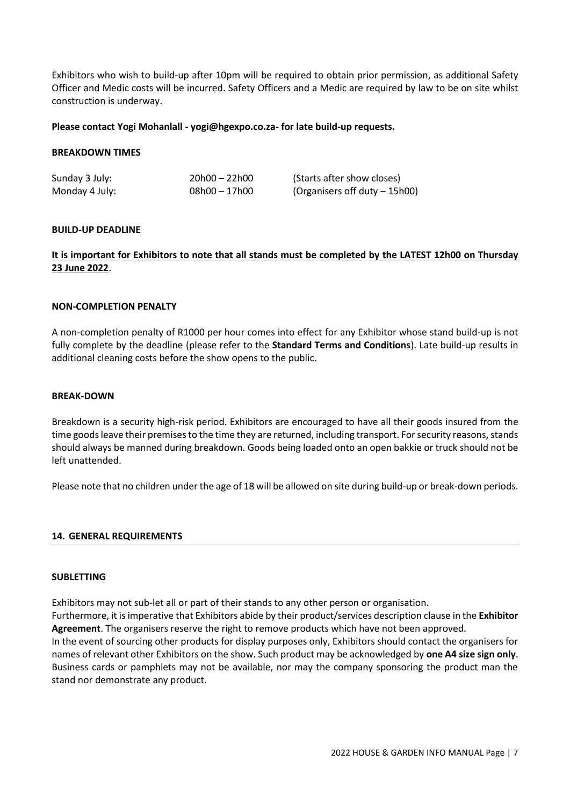Exhibitors who wish to build-up after 10pm will be required to obtain prior permission, as additional Safety Officer and Medic costs will be incurred. Safety Officers and a Medic are required by law to be on site whilst construction is underway.

#### **Please contact Yogi Mohanlall - yogi@hgexpo.co.za- for late build-up requests.**

#### **BREAKDOWN TIMES**

| Sunday 3 July: | $20h00 - 22h00$ | (Starts after show closes)    |
|----------------|-----------------|-------------------------------|
| Monday 4 July: | $08h00 - 17h00$ | (Organisers off duty – 15h00) |

#### **BUILD-UP DEADLINE**

# **It is important for Exhibitors to note that all stands must be completed by the LATEST 12h00 on Thursday 23 June 2022**.

#### **NON-COMPLETION PENALTY**

A non-completion penalty of R1000 per hour comes into effect for any Exhibitor whose stand build-up is not fully complete by the deadline (please refer to the **Standard Terms and Conditions**). Late build-up results in additional cleaning costs before the show opens to the public.

#### **BREAK-DOWN**

Breakdown is a security high-risk period. Exhibitors are encouraged to have all their goods insured from the time goods leave their premises to the time they are returned, including transport. For security reasons, stands should always be manned during breakdown. Goods being loaded onto an open bakkie or truck should not be left unattended.

Please note that no children under the age of 18 will be allowed on site during build-up or break-down periods.

# <span id="page-6-0"></span>**14. GENERAL REQUIREMENTS**

#### **SUBLETTING**

Exhibitors may not sub-let all or part of their stands to any other person or organisation.

Furthermore, it is imperative that Exhibitors abide by their product/services description clause in the **Exhibitor Agreement**. The organisers reserve the right to remove products which have not been approved.

In the event of sourcing other products for display purposes only, Exhibitors should contact the organisers for names of relevant other Exhibitors on the show. Such product may be acknowledged by **one A4 size sign only**. Business cards or pamphlets may not be available, nor may the company sponsoring the product man the stand nor demonstrate any product.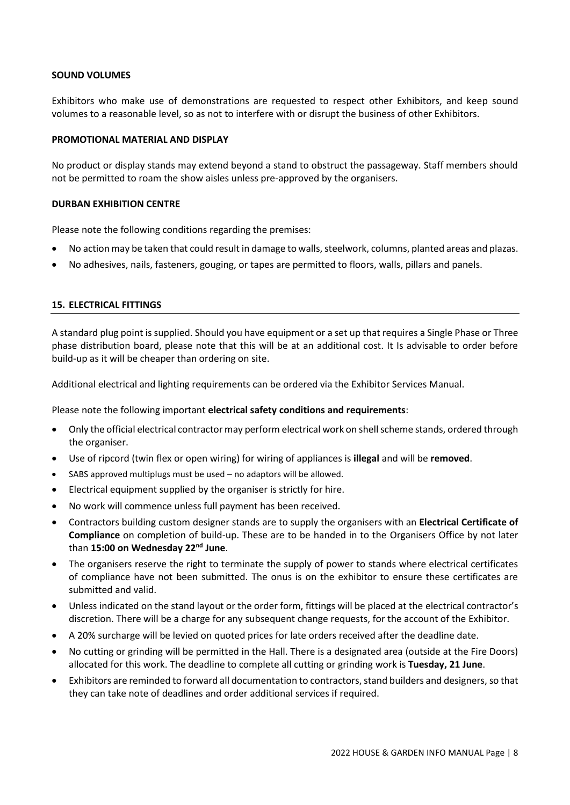#### **SOUND VOLUMES**

Exhibitors who make use of demonstrations are requested to respect other Exhibitors, and keep sound volumes to a reasonable level, so as not to interfere with or disrupt the business of other Exhibitors.

#### **PROMOTIONAL MATERIAL AND DISPLAY**

No product or display stands may extend beyond a stand to obstruct the passageway. Staff members should not be permitted to roam the show aisles unless pre-approved by the organisers.

# **DURBAN EXHIBITION CENTRE**

Please note the following conditions regarding the premises:

- No action may be taken that could result in damage to walls, steelwork, columns, planted areas and plazas.
- No adhesives, nails, fasteners, gouging, or tapes are permitted to floors, walls, pillars and panels.

# <span id="page-7-0"></span>**15. ELECTRICAL FITTINGS**

A standard plug point is supplied. Should you have equipment or a set up that requires a Single Phase or Three phase distribution board, please note that this will be at an additional cost. It Is advisable to order before build-up as it will be cheaper than ordering on site.

Additional electrical and lighting requirements can be ordered via the Exhibitor Services Manual.

Please note the following important **electrical safety conditions and requirements**:

- Only the official electrical contractor may perform electrical work on shell scheme stands, ordered through the organiser.
- Use of ripcord (twin flex or open wiring) for wiring of appliances is **illegal** and will be **removed**.
- SABS approved multiplugs must be used no adaptors will be allowed.
- Electrical equipment supplied by the organiser is strictly for hire.
- No work will commence unless full payment has been received.
- Contractors building custom designer stands are to supply the organisers with an **Electrical Certificate of Compliance** on completion of build-up. These are to be handed in to the Organisers Office by not later than **15:00 on Wednesday 22 nd June**.
- The organisers reserve the right to terminate the supply of power to stands where electrical certificates of compliance have not been submitted. The onus is on the exhibitor to ensure these certificates are submitted and valid.
- Unless indicated on the stand layout or the order form, fittings will be placed at the electrical contractor's discretion. There will be a charge for any subsequent change requests, for the account of the Exhibitor.
- A 20% surcharge will be levied on quoted prices for late orders received after the deadline date.
- No cutting or grinding will be permitted in the Hall. There is a designated area (outside at the Fire Doors) allocated for this work. The deadline to complete all cutting or grinding work is **Tuesday, 21 June**.
- Exhibitors are reminded to forward all documentation to contractors, stand builders and designers,so that they can take note of deadlines and order additional services if required.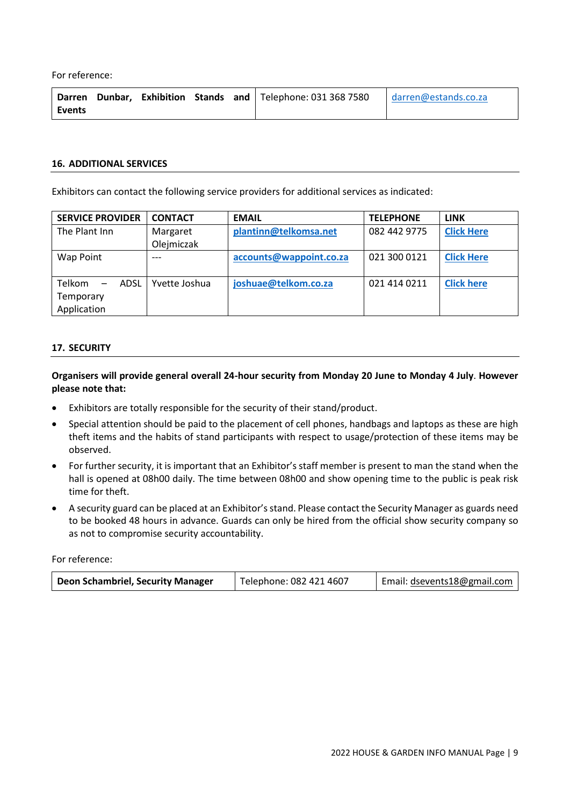For reference:

|               |  |  | Darren Dunbar, Exhibition Stands and Telephone: 031 368 7580 darren@estands.co.za |  |
|---------------|--|--|-----------------------------------------------------------------------------------|--|
| <b>Events</b> |  |  |                                                                                   |  |

#### <span id="page-8-0"></span>**16. ADDITIONAL SERVICES**

Exhibitors can contact the following service providers for additional services as indicated:

| <b>SERVICE PROVIDER</b>             | <b>CONTACT</b> | <b>EMAIL</b>            | <b>TELEPHONE</b> | <b>LINK</b>       |
|-------------------------------------|----------------|-------------------------|------------------|-------------------|
| The Plant Inn                       | Margaret       | plantinn@telkomsa.net   | 082 442 9775     | <b>Click Here</b> |
|                                     | Olejmiczak     |                         |                  |                   |
| Wap Point                           |                | accounts@wappoint.co.za | 021 300 0121     | <b>Click Here</b> |
|                                     |                |                         |                  |                   |
| Telkom<br>ADSL<br>$\qquad \qquad =$ | Yvette Joshua  | joshuae@telkom.co.za    | 021 414 0211     | <b>Click here</b> |
| Temporary                           |                |                         |                  |                   |
| Application                         |                |                         |                  |                   |

# <span id="page-8-1"></span>**17. SECURITY**

**Organisers will provide general overall 24-hour security from Monday 20 June to Monday 4 July**. **However please note that:** 

- Exhibitors are totally responsible for the security of their stand/product.
- Special attention should be paid to the placement of cell phones, handbags and laptops as these are high theft items and the habits of stand participants with respect to usage/protection of these items may be observed.
- For further security, it is important that an Exhibitor's staff member is present to man the stand when the hall is opened at 08h00 daily. The time between 08h00 and show opening time to the public is peak risk time for theft.
- A security guard can be placed at an Exhibitor's stand. Please contact the Security Manager as guards need to be booked 48 hours in advance. Guards can only be hired from the official show security company so as not to compromise security accountability.

For reference:

| Deon Schambriel, Security Manager | Telephone: 082 421 4607 | Email: dsevents18@gmail.com |
|-----------------------------------|-------------------------|-----------------------------|
|-----------------------------------|-------------------------|-----------------------------|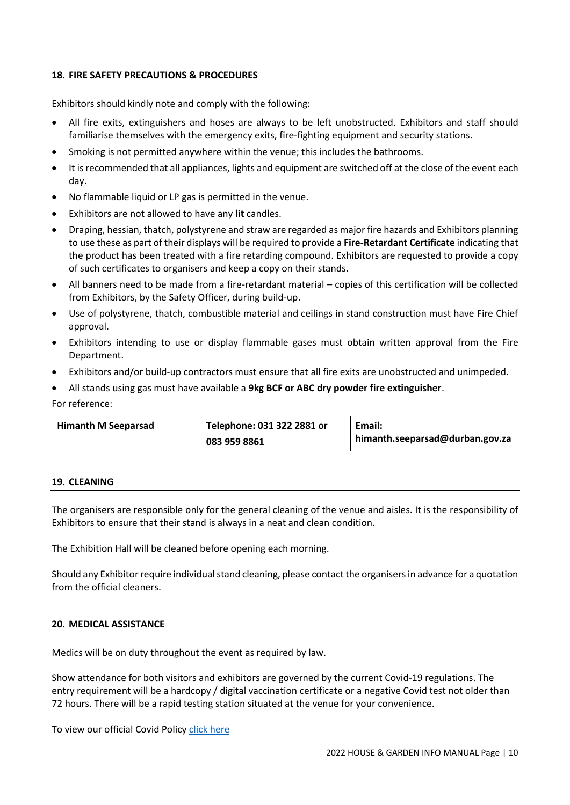# <span id="page-9-0"></span>**18. FIRE SAFETY PRECAUTIONS & PROCEDURES**

Exhibitors should kindly note and comply with the following:

- All fire exits, extinguishers and hoses are always to be left unobstructed. Exhibitors and staff should familiarise themselves with the emergency exits, fire-fighting equipment and security stations.
- Smoking is not permitted anywhere within the venue; this includes the bathrooms.
- It is recommended that all appliances, lights and equipment are switched off at the close of the event each day.
- No flammable liquid or LP gas is permitted in the venue.
- Exhibitors are not allowed to have any **lit** candles.
- Draping, hessian, thatch, polystyrene and straw are regarded as major fire hazards and Exhibitors planning to use these as part of their displays will be required to provide a **Fire-Retardant Certificate** indicating that the product has been treated with a fire retarding compound. Exhibitors are requested to provide a copy of such certificates to organisers and keep a copy on their stands.
- All banners need to be made from a fire-retardant material copies of this certification will be collected from Exhibitors, by the Safety Officer, during build-up.
- Use of polystyrene, thatch, combustible material and ceilings in stand construction must have Fire Chief approval.
- Exhibitors intending to use or display flammable gases must obtain written approval from the Fire Department.
- Exhibitors and/or build-up contractors must ensure that all fire exits are unobstructed and unimpeded.
- All stands using gas must have available a **9kg BCF or ABC dry powder fire extinguisher**.

For reference:

| <b>Himanth M Seeparsad</b> | Telephone: 031 322 2881 or | Email:                          |
|----------------------------|----------------------------|---------------------------------|
|                            | 083 959 8861               | himanth.seeparsad@durban.gov.za |

# <span id="page-9-1"></span>**19. CLEANING**

The organisers are responsible only for the general cleaning of the venue and aisles. It is the responsibility of Exhibitors to ensure that their stand is always in a neat and clean condition.

The Exhibition Hall will be cleaned before opening each morning.

Should any Exhibitor require individual stand cleaning, please contact the organisers in advance for a quotation from the official cleaners.

# <span id="page-9-2"></span>**20. MEDICAL ASSISTANCE**

Medics will be on duty throughout the event as required by law.

Show attendance for both visitors and exhibitors are governed by the current Covid-19 regulations. The entry requirement will be a hardcopy / digital vaccination certificate or a negative Covid test not older than 72 hours. There will be a rapid testing station situated at the venue for your convenience.

To view our official Covid Polic[y click here](https://housegardenshow.co.za/wp-content/uploads/2022/05/House-Garden-Policy-RF-9-05-2022.pdf)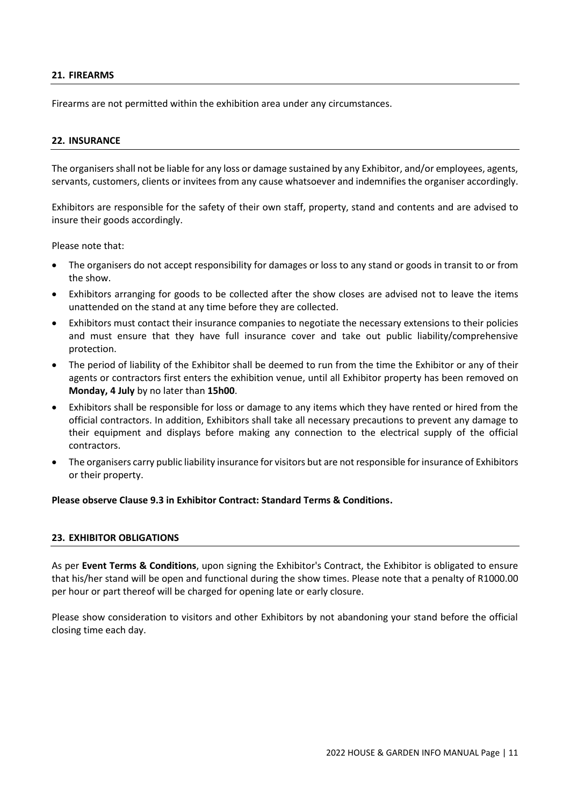# <span id="page-10-0"></span>**21. FIREARMS**

Firearms are not permitted within the exhibition area under any circumstances.

## <span id="page-10-1"></span>**22. INSURANCE**

The organisers shall not be liable for any loss or damage sustained by any Exhibitor, and/or employees, agents, servants, customers, clients or invitees from any cause whatsoever and indemnifies the organiser accordingly.

Exhibitors are responsible for the safety of their own staff, property, stand and contents and are advised to insure their goods accordingly.

Please note that:

- The organisers do not accept responsibility for damages or loss to any stand or goods in transit to or from the show.
- Exhibitors arranging for goods to be collected after the show closes are advised not to leave the items unattended on the stand at any time before they are collected.
- Exhibitors must contact their insurance companies to negotiate the necessary extensions to their policies and must ensure that they have full insurance cover and take out public liability/comprehensive protection.
- The period of liability of the Exhibitor shall be deemed to run from the time the Exhibitor or any of their agents or contractors first enters the exhibition venue, until all Exhibitor property has been removed on **Monday, 4 July** by no later than **15h00**.
- Exhibitors shall be responsible for loss or damage to any items which they have rented or hired from the official contractors. In addition, Exhibitors shall take all necessary precautions to prevent any damage to their equipment and displays before making any connection to the electrical supply of the official contractors.
- The organisers carry public liability insurance for visitors but are not responsible for insurance of Exhibitors or their property.

## **Please observe Clause 9.3 in Exhibitor Contract: Standard Terms & Conditions.**

#### <span id="page-10-2"></span>**23. EXHIBITOR OBLIGATIONS**

As per **Event Terms & Conditions**, upon signing the Exhibitor's Contract, the Exhibitor is obligated to ensure that his/her stand will be open and functional during the show times. Please note that a penalty of R1000.00 per hour or part thereof will be charged for opening late or early closure.

Please show consideration to visitors and other Exhibitors by not abandoning your stand before the official closing time each day.